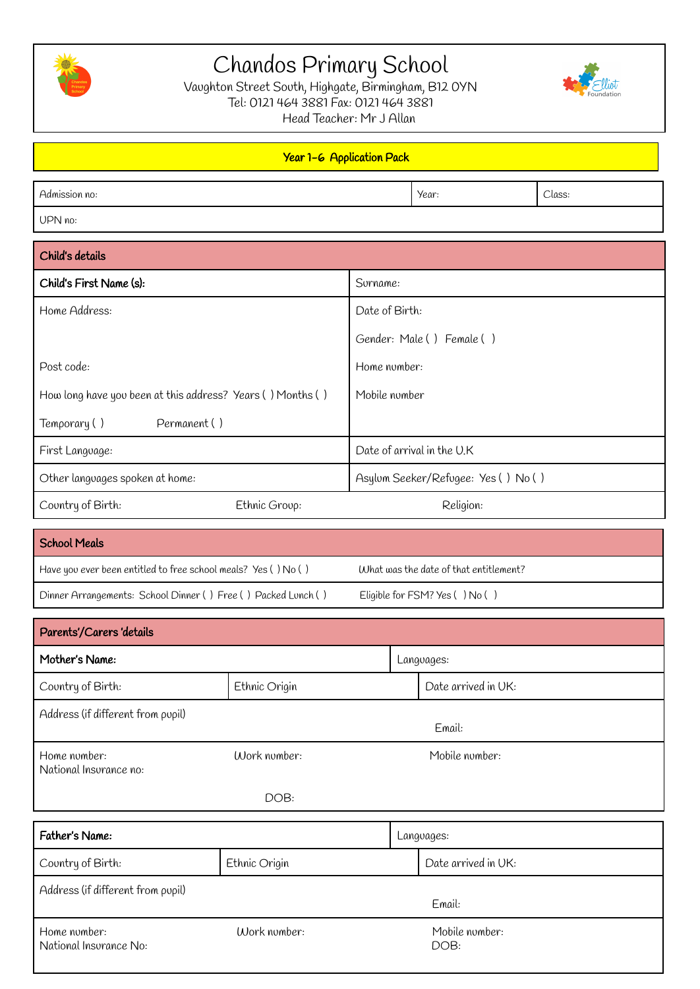

# Chandos Primary School

Vaughton Street South, Highgate, Birmingham, B12 0YN Tel: 0121 464 3881 Fax: 0121 464 3881 Head Teacher: Mr J Allan



#### Year 1-6 Application Pack Admission no: Class: Class: Class: Class: Class: Class: Class: Class: Class: Class: Class: Class: Class: Class UPN no: Child's details Child's First Name (s): Surname: Surname: Surname: Surname: Surname: Surname: Surname: Surname: Surname: Surname: Surname: Surname: Surname: Surname: Surname: Surname: Surname: Surname: Surname: Surname: Surname: Surname: Home Address: Post code: How long have you been at this address? Years ( ) Months ( ) Date of Birth: Gender: Male ( ) Female ( ) Home number: Mobile number

| Permanent ()<br>' Temporary ( ) |               |                                     |  |
|---------------------------------|---------------|-------------------------------------|--|
| First Language:                 |               | Date of arrival in the U.K          |  |
| Other languages spoken at home: |               | Asylum Seeker/Refugee: Yes () No () |  |
| $\vert$ Country of Birth:       | Ethnic Group: | Religion:                           |  |

## School Meals Have you ever been entitled to free school meals? Yes () No () What was the date of that entitlement? Dinner Arrangements: School Dinner ( ) Free ( ) Packed Lunch ( ) Eligible for FSM? Yes ( ) No ( )

| Parents'/Carers 'details               |               |        |                     |  |
|----------------------------------------|---------------|--------|---------------------|--|
| Mother's Name:                         |               |        | Languages:          |  |
| Country of Birth:                      | Ethnic Origin |        | Date arrived in UK: |  |
| Address (if different from pupil)      |               |        |                     |  |
|                                        |               | Email: |                     |  |
| Home number:<br>National Insurance no: | Work number:  |        | Mobile number:      |  |
|                                        | DOB:          |        |                     |  |
| Father's Name:                         |               |        | Languages:          |  |
| Country of Birth:                      | Ethnic Origin |        | Date arrived in UK: |  |
| Oddrogo (if different from anol)       |               |        |                     |  |

| Address (if different from pupil)      |              |                        |  |
|----------------------------------------|--------------|------------------------|--|
|                                        |              | Email:                 |  |
| Home number:<br>National Insurance No: | Work number: | Mobile number:<br>DOB: |  |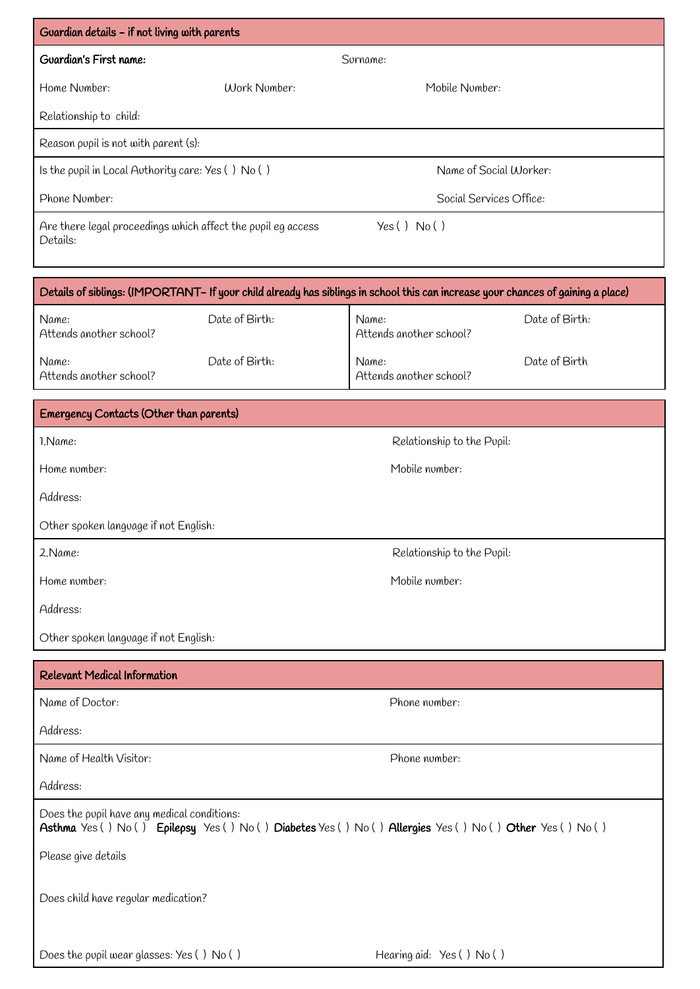| Guardian details – if not living with parents                                                                                    |               |                         |  |
|----------------------------------------------------------------------------------------------------------------------------------|---------------|-------------------------|--|
| Guardian's First name:                                                                                                           |               | Surname:                |  |
| Home Number:                                                                                                                     | (Nork Nomber: | Mobile Number:          |  |
| Relationship to child:                                                                                                           |               |                         |  |
| Reason pupil is not with parent (s):                                                                                             |               |                         |  |
| Is the pupil in Local Authority care: $Yes() No()$                                                                               |               | Name of Social Worker:  |  |
| Phone Number:                                                                                                                    |               | Social Services Office: |  |
| Are there legal proceedings which affect the pupil eq access<br>Details:                                                         |               | Yes() No()              |  |
| Details of siblings: (IMPORTANT- If your child already has siblings in school this can increase your chances of gaining a place) |               |                         |  |

| Name:<br>Attends another school? | Date of Birth: | Name:<br>Attends another school? | Date of Birth: |
|----------------------------------|----------------|----------------------------------|----------------|
| Name:<br>Attends another school? | Date of Birth: | Name:<br>Attends another school? | Date of Birth  |

| Emergency Contacts (Other than parents) |                            |  |  |  |
|-----------------------------------------|----------------------------|--|--|--|
| 1. Name:                                | Relationship to the Pupil: |  |  |  |
| Home number:                            | Mobile number:             |  |  |  |
| Address:                                |                            |  |  |  |
| Other spoken language if not English:   |                            |  |  |  |
| 2.Name:                                 | Relationship to the Pupil: |  |  |  |
| Home number:                            | Mobile number:             |  |  |  |
| Address:                                |                            |  |  |  |
| Other spoken language if not English:   |                            |  |  |  |
| <b>Relevant Medical Information</b>     |                            |  |  |  |
| Name of Doctor:                         | Phone number:              |  |  |  |
| Address:                                |                            |  |  |  |

Name of Health Visitor: Phone number:

Address:

Does the pupil have any medical conditions: Asthma Yes () No () Epilepsy Yes () No () Diabetes Yes () No () Allergies Yes () No () Other Yes () No () Please give details Does child have regular medication?

Does the pupil wear glasses: Yes () No () Hearing aid: Yes () No ()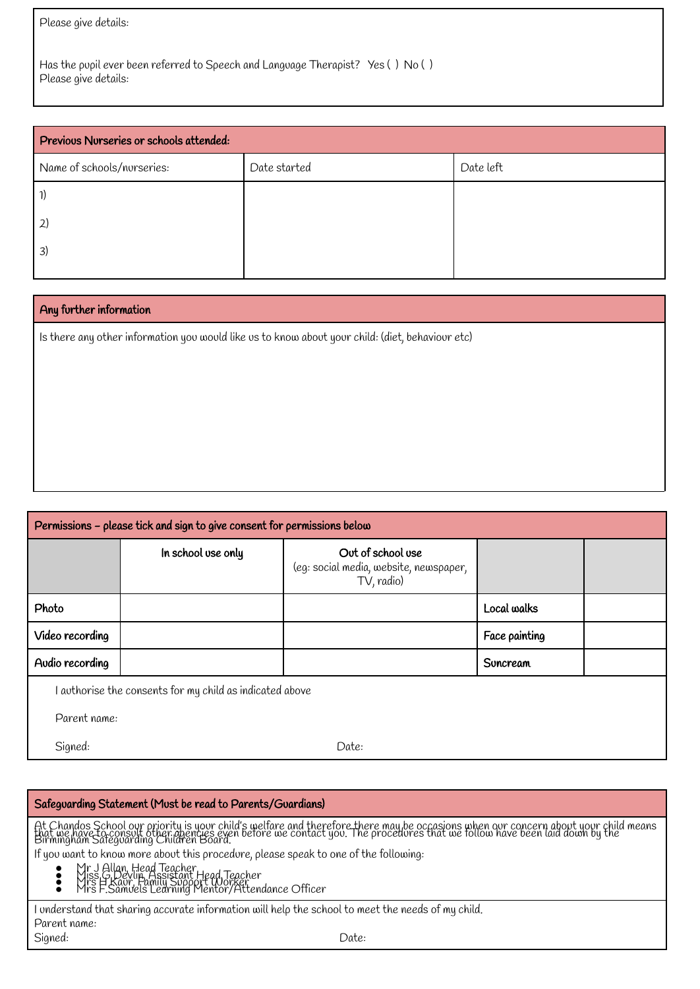Please give details:

Has the pupil ever been referred to Speech and Language Therapist? Yes ( ) No ( ) Please give details:

| Previous Nurseries or schools attended: |              |           |  |
|-----------------------------------------|--------------|-----------|--|
| Name of schools/nurseries:              | Date started | Date left |  |
|                                         |              |           |  |
| 2                                       |              |           |  |
| 3)                                      |              |           |  |
|                                         |              |           |  |

#### Any further information

Is there any other information you would like us to know about your child: (diet, behaviour etc)

| Permissions - please tick and sign to give consent for permissions below |                    |                                                                           |               |  |  |
|--------------------------------------------------------------------------|--------------------|---------------------------------------------------------------------------|---------------|--|--|
|                                                                          | In school use only | Out of school use<br>(eg: social media, website, newspaper,<br>TV, radio) |               |  |  |
| Photo                                                                    |                    |                                                                           | Local walks   |  |  |
| Video recording                                                          |                    |                                                                           | Face painting |  |  |
| Audio recording                                                          |                    |                                                                           | Suncream      |  |  |
| I authorise the consents for my child as indicated above                 |                    |                                                                           |               |  |  |
| Parent name:                                                             |                    |                                                                           |               |  |  |
| Signed:                                                                  |                    | Date:                                                                     |               |  |  |

#### Safeguarding Statement (Must be read to Parents/Guardians) At Chandos School ovr priority is your child's welfare and therefore there may be occasions when our concern about your child means<br>that we have to consult other agencies even before we contact you. The procedures that we If you want to know more about this procedure, please speak to one of the following: • Mr J Allan, Head Teacher<br>• Miss G Devlin, Assistant Head Teacher<br>• Mrs F.Samuels Learning Mentor/Attendance Officer I understand that sharing accurate information will help the school to meet the needs of my child. Parent name: Signed: Date: